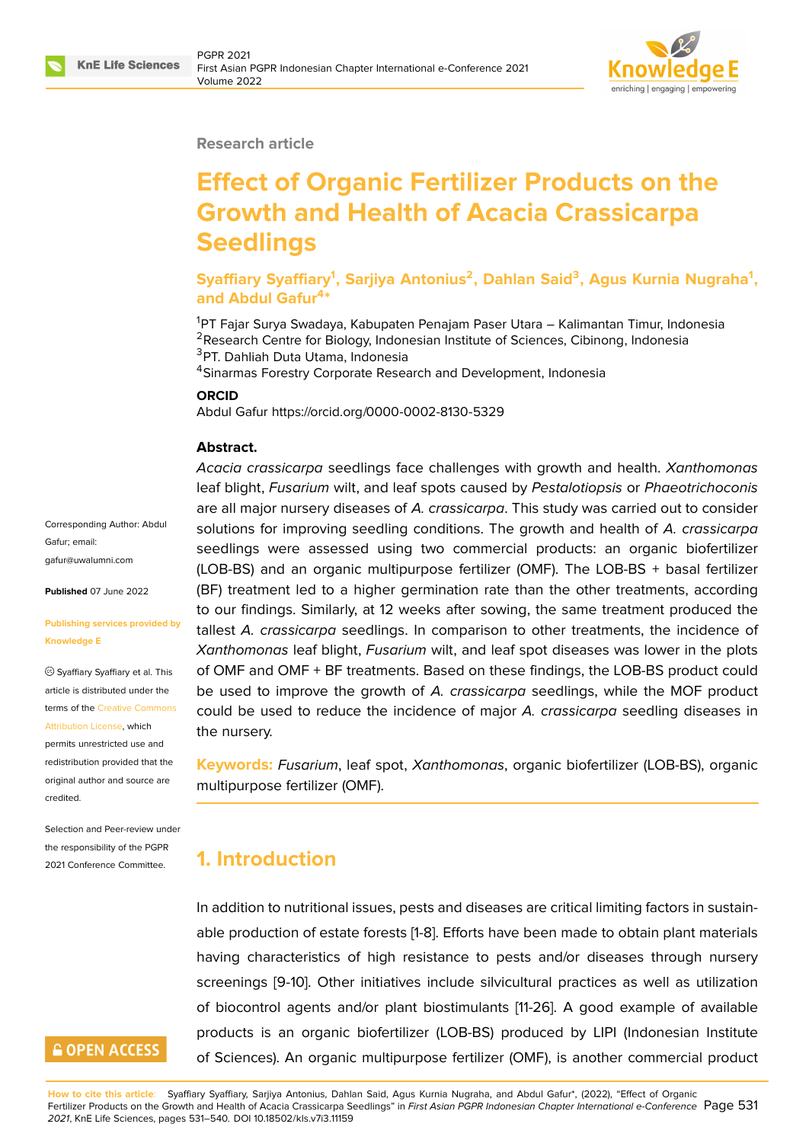

#### **Research article**

# **Effect of Organic Fertilizer Products on the Growth and Health of Acacia Crassicarpa Seedlings**

**Syaffiary Syaffiary<sup>1</sup> , Sarjiya Antonius<sup>2</sup> , Dahlan Said<sup>3</sup> , Agus Kurnia Nugraha<sup>1</sup> , and Abdul Gafur<sup>4</sup> \***

<sup>1</sup>PT Fajar Surya Swadaya, Kabupaten Penajam Paser Utara – Kalimantan Timur, Indonesia <sup>2</sup>Research Centre for Biology, Indonesian Institute of Sciences, Cibinong, Indonesia <sup>3</sup>PT. Dahliah Duta Utama, Indonesia

<sup>4</sup>Sinarmas Forestry Corporate Research and Development, Indonesia

#### **ORCID**

Abdul Gafur https://orcid.org/0000-0002-8130-5329

#### **Abstract.**

*Acacia crassicarpa* seedlings face challenges with growth and health. *Xanthomonas* leaf blight, *Fusarium* wilt, and leaf spots caused by *Pestalotiopsis* or *Phaeotrichoconis* are all major nursery diseases of *A. crassicarpa*. This study was carried out to consider solutions for improving seedling conditions. The growth and health of *A. crassicarpa* seedlings were assessed using two commercial products: an organic biofertilizer (LOB-BS) and an organic multipurpose fertilizer (OMF). The LOB-BS + basal fertilizer (BF) treatment led to a higher germination rate than the other treatments, according to our findings. Similarly, at 12 weeks after sowing, the same treatment produced the tallest *A. crassicarpa* seedlings. In comparison to other treatments, the incidence of *Xanthomonas* leaf blight, *Fusarium* wilt, and leaf spot diseases was lower in the plots of OMF and OMF + BF treatments. Based on these findings, the LOB-BS product could be used to improve the growth of *A. crassicarpa* seedlings, while the MOF product could be used to reduce the incidence of major *A. crassicarpa* seedling diseases in the nursery.

**Keywords:** *Fusarium*, leaf spot, *Xanthomonas*, organic biofertilizer (LOB-BS), organic multipurpose fertilizer (OMF).

### **1. Introduction**

In addition to nutritional issues, pests and diseases are critical limiting factors in sustainable production of estate forests [1-8]. Efforts have been made to obtain plant materials having characteristics of high resistance to pests and/or diseases through nursery screenings [9-10]. Other initiatives include silvicultural practices as well as utilization of biocontrol agents and/or plant biostimulants [11-26]. A good example of available products is an organic biofertilizer (LOB-BS) produced by LIPI (Indonesian Institute of Sciences). An organic multipurpose fertilizer (OMF), is another commercial product

Corresponding Author: Abdul Gafur; email: gafur@uwalumni.com

**Published** 07 June 2022

#### **[Publishing services p](mailto:gafur@uwalumni.com)rovided by Knowledge E**

Syaffiary Syaffiary et al. This article is distributed under the terms of the Creative Commons Attribution License, which

permits unrestricted use and redistribution provided that the original auth[or and source are](https://creativecommons.org/licenses/by/4.0/) [credited.](https://creativecommons.org/licenses/by/4.0/)

Selection and Peer-review under the responsibility of the PGPR 2021 Conference Committee.

## **GOPEN ACCESS**

**How to cite this article**: Syaffiary Syaffiary, Sarjiya Antonius, Dahlan Said, Agus Kurnia Nugraha, and Abdul Gafur\*, (2022), "Effect of Organic Fertilizer Products on the Growth and Health of Acacia Crassicarpa Seedlings" in *First Asian PGPR Indonesian Chapter International e-Conference* Page 531 *2021*, KnE Life Sciences, pages 531–540. DOI 10.18502/kls.v7i3.11159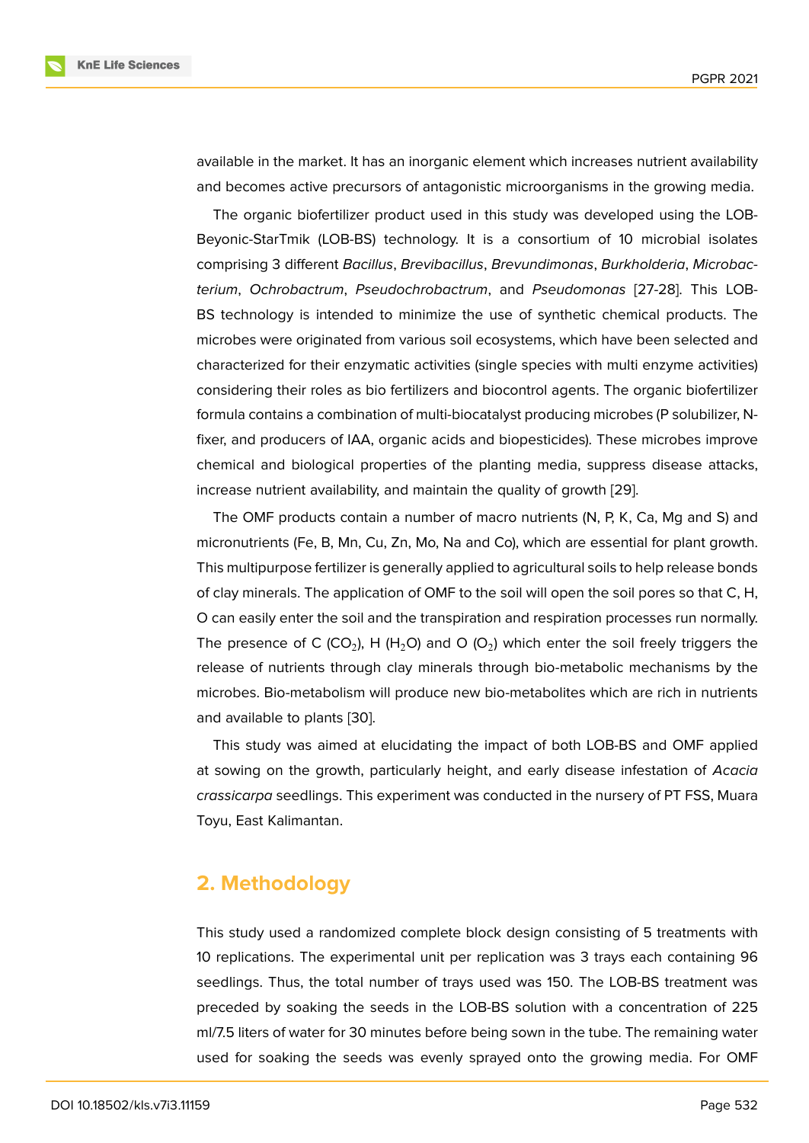available in the market. It has an inorganic element which increases nutrient availability and becomes active precursors of antagonistic microorganisms in the growing media.

The organic biofertilizer product used in this study was developed using the LOB-Beyonic-StarTmik (LOB-BS) technology. It is a consortium of 10 microbial isolates comprising 3 different *Bacillus*, *Brevibacillus*, *Brevundimonas*, *Burkholderia*, *Microbacterium*, *Ochrobactrum*, *Pseudochrobactrum*, and *Pseudomonas* [27-28]. This LOB-BS technology is intended to minimize the use of synthetic chemical products. The microbes were originated from various soil ecosystems, which have been selected and characterized for their enzymatic activities (single species with multi enzyme activities) considering their roles as bio fertilizers and biocontrol agents. The organic biofertilizer formula contains a combination of multi-biocatalyst producing microbes (P solubilizer, Nfixer, and producers of IAA, organic acids and biopesticides). These microbes improve chemical and biological properties of the planting media, suppress disease attacks, increase nutrient availability, and maintain the quality of growth [29].

The OMF products contain a number of macro nutrients (N, P, K, Ca, Mg and S) and micronutrients (Fe, B, Mn, Cu, Zn, Mo, Na and Co), which are essential for plant growth. This multipurpose fertilizer is generally applied to agricultural soil[s to](#page-8-0) help release bonds of clay minerals. The application of OMF to the soil will open the soil pores so that C, H, O can easily enter the soil and the transpiration and respiration processes run normally. The presence of C (CO<sub>2</sub>), H (H<sub>2</sub>O) and O (O<sub>2</sub>) which enter the soil freely triggers the release of nutrients through clay minerals through bio-metabolic mechanisms by the microbes. Bio-metabolism will produce new bio-metabolites which are rich in nutrients and available to plants [30].

This study was aimed at elucidating the impact of both LOB-BS and OMF applied at sowing on the growth, particularly height, and early disease infestation of *Acacia crassicarpa* seedlings. [This](#page-8-1) experiment was conducted in the nursery of PT FSS, Muara Toyu, East Kalimantan.

# **2. Methodology**

This study used a randomized complete block design consisting of 5 treatments with 10 replications. The experimental unit per replication was 3 trays each containing 96 seedlings. Thus, the total number of trays used was 150. The LOB-BS treatment was preceded by soaking the seeds in the LOB-BS solution with a concentration of 225 ml/7.5 liters of water for 30 minutes before being sown in the tube. The remaining water used for soaking the seeds was evenly sprayed onto the growing media. For OMF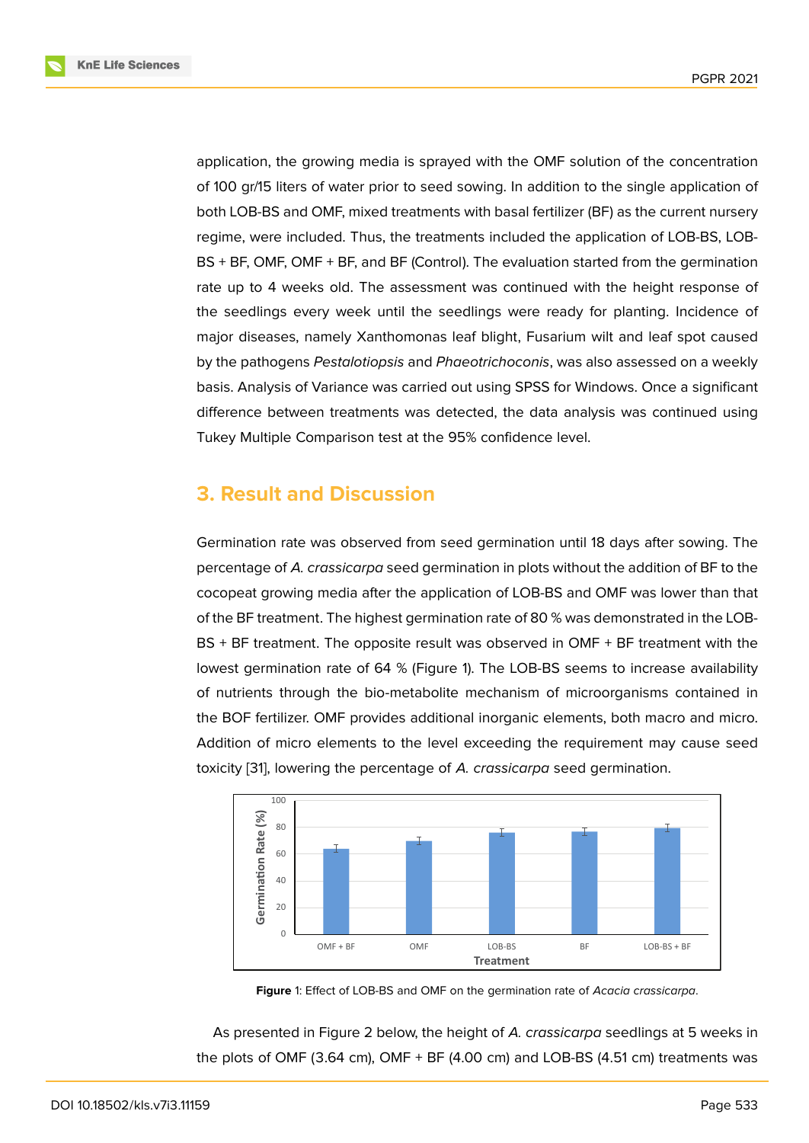application, the growing media is sprayed with the OMF solution of the concentration of 100 gr/15 liters of water prior to seed sowing. In addition to the single application of both LOB-BS and OMF, mixed treatments with basal fertilizer (BF) as the current nursery regime, were included. Thus, the treatments included the application of LOB-BS, LOB-BS + BF, OMF, OMF + BF, and BF (Control). The evaluation started from the germination rate up to 4 weeks old. The assessment was continued with the height response of the seedlings every week until the seedlings were ready for planting. Incidence of major diseases, namely Xanthomonas leaf blight, Fusarium wilt and leaf spot caused by the pathogens *Pestalotiopsis* and *Phaeotrichoconis*, was also assessed on a weekly basis. Analysis of Variance was carried out using SPSS for Windows. Once a significant difference between treatments was detected, the data analysis was continued using Tukey Multiple Comparison test at the 95% confidence level.

# **3. Result and Discussion**

Germination rate was observed from seed germination until 18 days after sowing. The percentage of *A. crassicarpa* seed germination in plots without the addition of BF to the cocopeat growing media after the application of LOB-BS and OMF was lower than that of the BF treatment. The highest germination rate of 80 % was demonstrated in the LOB-BS + BF treatment. The opposite result was observed in OMF + BF treatment with the lowest germination rate of 64 % (Figure 1). The LOB-BS seems to increase availability of nutrients through the bio-metabolite mechanism of microorganisms contained in the BOF fertilizer. OMF provides additional inorganic elements, both macro and micro. Addition of micro elements to the level [e](#page-2-0)xceeding the requirement may cause seed toxicity [31], lowering the percentage of *A. crassicarpa* seed germination.



<span id="page-2-0"></span>

As presented in Figure 2 below, the height of *A. crassicarpa* seedlings at 5 weeks in the plots of OMF (3.64 cm), OMF + BF (4.00 cm) and LOB-BS (4.51 cm) treatments was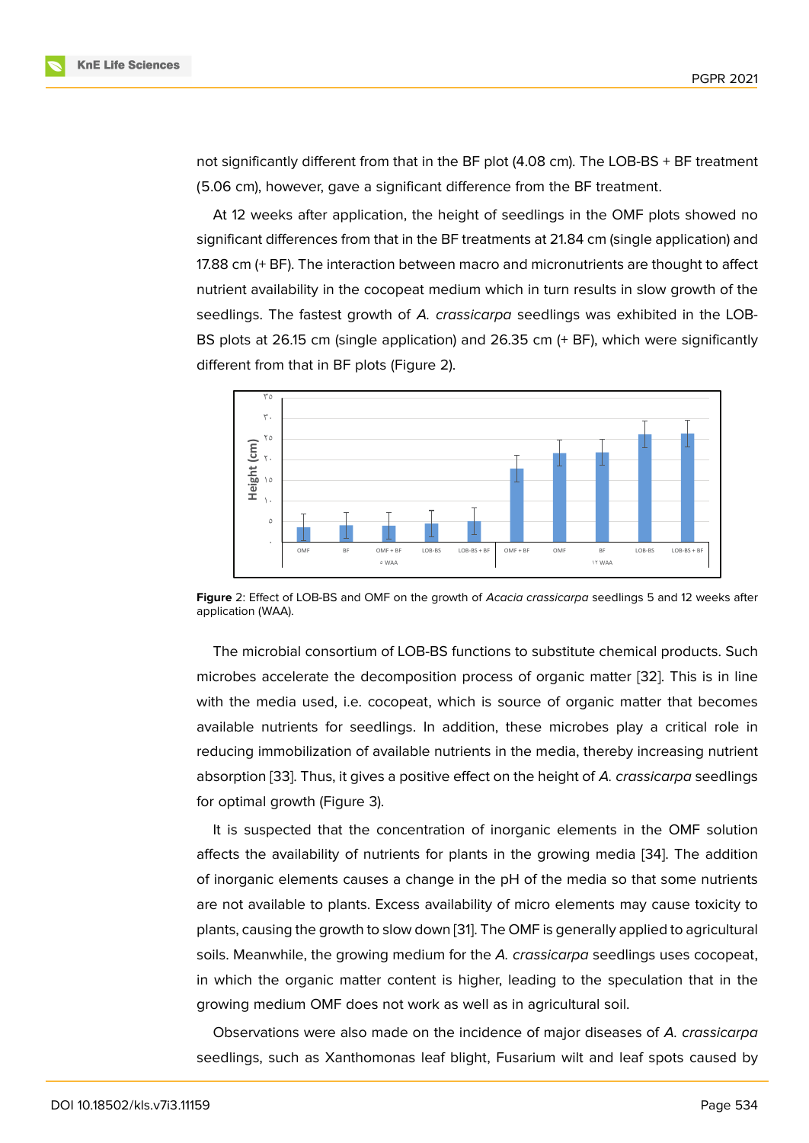not significantly different from that in the BF plot (4.08 cm). The LOB-BS + BF treatment (5.06 cm), however, gave a significant difference from the BF treatment.

At 12 weeks after application, the height of seedlings in the OMF plots showed no significant differences from that in the BF treatments at 21.84 cm (single application) and 17.88 cm (+ BF). The interaction between macro and micronutrients are thought to affect nutrient availability in the cocopeat medium which in turn results in slow growth of the seedlings. The fastest growth of *A. crassicarpa* seedlings was exhibited in the LOB-BS plots at 26.15 cm (single application) and 26.35 cm (+ BF), which were significantly different from that in BF plots (Figure 2).



**Figure** 2: Effect of LOB-BS and OMF on the growth of *Acacia crassicarpa* seedlings 5 and 12 weeks after application (WAA).

The microbial consortium of LOB-BS functions to substitute chemical products. Such microbes accelerate the decomposition process of organic matter [32]. This is in line with the media used, i.e. cocopeat, which is source of organic matter that becomes available nutrients for seedlings. In addition, these microbes play a critical role in reducing immobilization of available nutrients in the media, thereby i[ncr](#page-8-3)easing nutrient absorption [33]. Thus, it gives a positive effect on the height of *A. crassicarpa* seedlings for optimal growth (Figure 3).

It is suspected that the concentration of inorganic elements in the OMF solution affects the [ava](#page-8-4)ilability of nutrients for plants in the growing media [34]. The addition of inorganic elements cau[se](#page-4-0)s a change in the pH of the media so that some nutrients are not available to plants. Excess availability of micro elements may cause toxicity to plants, causing the growth to slow down [31]. The OMF is generally app[lied](#page-8-5) to agricultural soils. Meanwhile, the growing medium for the *A. crassicarpa* seedlings uses cocopeat, in which the organic matter content is higher, leading to the speculation that in the growing medium OMF does not work a[s w](#page-8-2)ell as in agricultural soil.

Observations were also made on the incidence of major diseases of *A. crassicarpa* seedlings, such as Xanthomonas leaf blight, Fusarium wilt and leaf spots caused by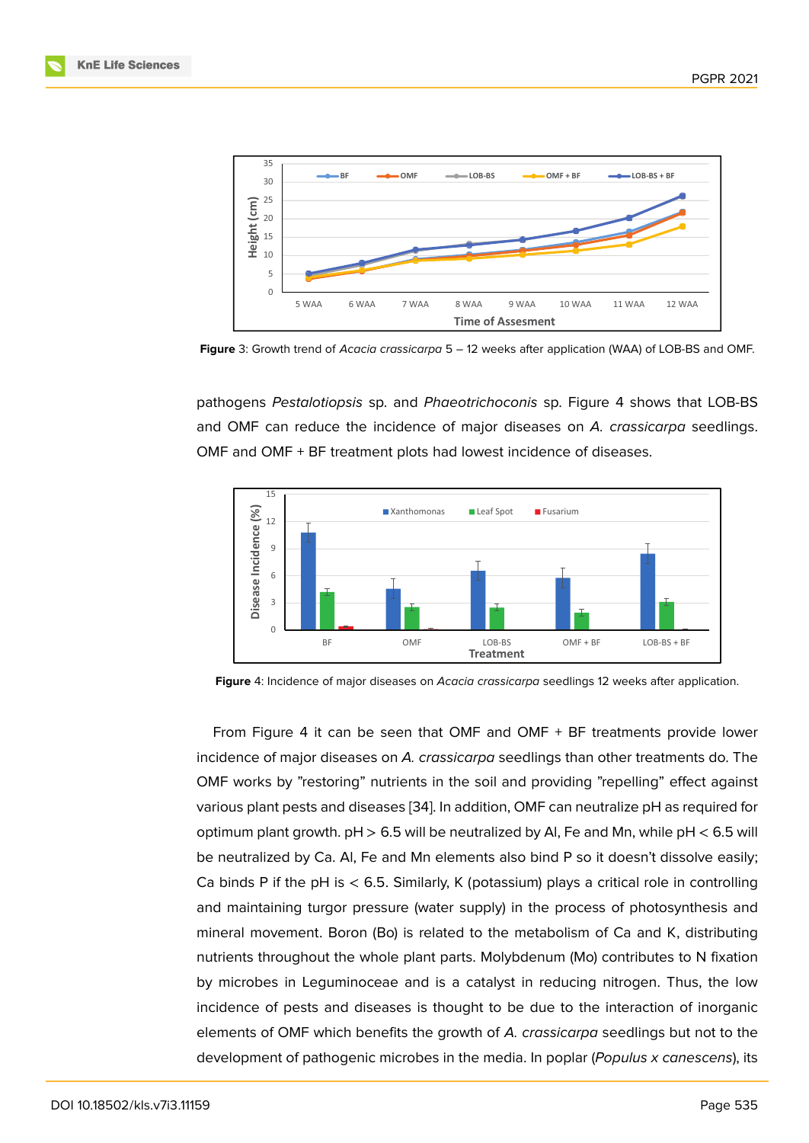

**Figure** 3: Growth trend of *Acacia crassicarpa* 5 – 12 weeks after application (WAA) of LOB-BS and OMF.

<span id="page-4-0"></span>pathogens *Pestalotiopsis* sp. and *Phaeotrichoconis* sp. Figure 4 shows that LOB-BS and OMF can reduce the incidence of major diseases on *A. crassicarpa* seedlings. OMF and OMF + BF treatment plots had lowest incidence of diseases.



**Figure** 4: Incidence of major diseases on *Acacia crassicarpa* seedlings 12 weeks after application.

<span id="page-4-1"></span>From Figure 4 it can be seen that OMF and OMF + BF treatments provide lower incidence of major diseases on *A. crassicarpa* seedlings than other treatments do. The OMF works by "restoring" nutrients in the soil and providing "repelling" effect against various plant pe[st](#page-4-1)s and diseases [34]. In addition, OMF can neutralize pH as required for optimum plant growth.  $pH > 6.5$  will be neutralized by AI, Fe and Mn, while  $pH < 6.5$  will be neutralized by Ca. Al, Fe and Mn elements also bind P so it doesn't dissolve easily; Ca binds P if the pH is  $<$  6.5. Si[mila](#page-8-5)rly, K (potassium) plays a critical role in controlling and maintaining turgor pressure (water supply) in the process of photosynthesis and mineral movement. Boron (Bo) is related to the metabolism of Ca and K, distributing nutrients throughout the whole plant parts. Molybdenum (Mo) contributes to N fixation by microbes in Leguminoceae and is a catalyst in reducing nitrogen. Thus, the low incidence of pests and diseases is thought to be due to the interaction of inorganic elements of OMF which benefits the growth of *A. crassicarpa* seedlings but not to the development of pathogenic microbes in the media. In poplar (*Populus x canescens*), its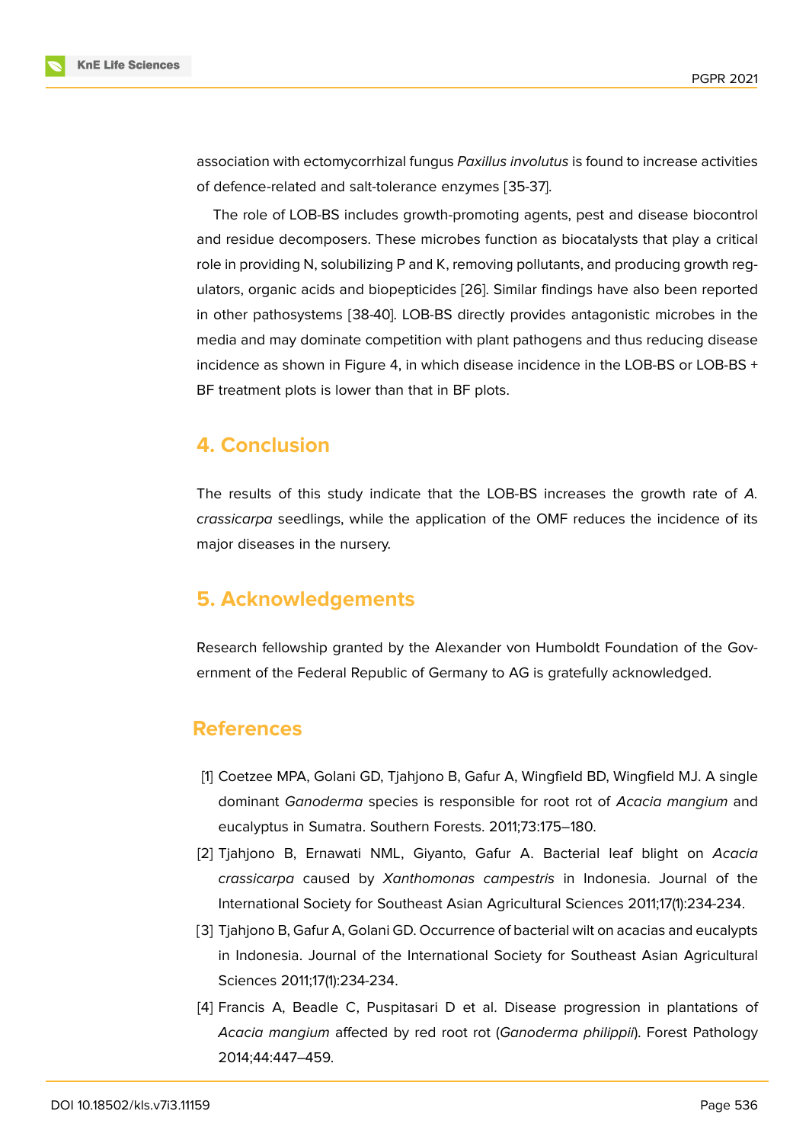association with ectomycorrhizal fungus *Paxillus involutus* is found to increase activities of defence-related and salt-tolerance enzymes [35-37].

The role of LOB-BS includes growth-promoting agents, pest and disease biocontrol and residue decomposers. These microbes function as biocatalysts that play a critical role in providing N, solubilizing P and K, removing pollutants, and producing growth regulators, organic acids and biopepticides [26]. Similar findings have also been reported in other pathosystems [38-40]. LOB-BS directly provides antagonistic microbes in the media and may dominate competition with plant pathogens and thus reducing disease incidence as shown in Figure 4, in which [dis](#page-7-0)ease incidence in the LOB-BS or LOB-BS  $+$ BF treatment plots is lower than that in BF plots.

### **4. Conclusion**

The results of this study indicate that the LOB-BS increases the growth rate of *A. crassicarpa* seedlings, while the application of the OMF reduces the incidence of its major diseases in the nursery.

## **5. Acknowledgements**

Research fellowship granted by the Alexander von Humboldt Foundation of the Government of the Federal Republic of Germany to AG is gratefully acknowledged.

### **References**

- [1] Coetzee MPA, Golani GD, Tjahjono B, Gafur A, Wingfield BD, Wingfield MJ. A single dominant *Ganoderma* species is responsible for root rot of *Acacia mangium* and eucalyptus in Sumatra. Southern Forests. 2011;73:175–180.
- [2] Tjahjono B, Ernawati NML, Giyanto, Gafur A. Bacterial leaf blight on *Acacia crassicarpa* caused by *Xanthomonas campestris* in Indonesia. Journal of the International Society for Southeast Asian Agricultural Sciences 2011;17(1):234-234.
- [3] Tjahjono B, Gafur A, Golani GD. Occurrence of bacterial wilt on acacias and eucalypts in Indonesia. Journal of the International Society for Southeast Asian Agricultural Sciences 2011;17(1):234-234.
- [4] Francis A, Beadle C, Puspitasari D et al. Disease progression in plantations of *Acacia mangium* affected by red root rot (*Ganoderma philippii*). Forest Pathology 2014;44:447–459.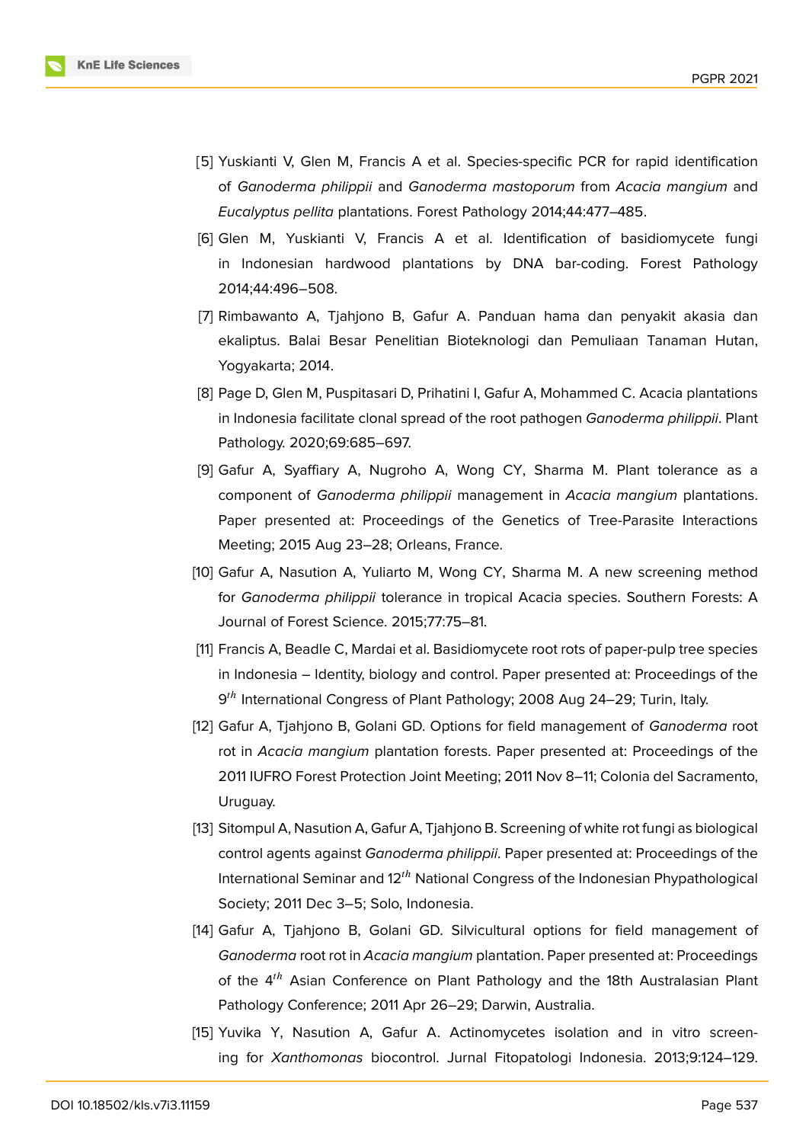

- [5] Yuskianti V, Glen M, Francis A et al. Species-specific PCR for rapid identification of *Ganoderma philippii* and *Ganoderma mastoporum* from *Acacia mangium* and *Eucalyptus pellita* plantations. Forest Pathology 2014;44:477–485.
- [6] Glen M, Yuskianti V, Francis A et al. Identification of basidiomycete fungi in Indonesian hardwood plantations by DNA bar-coding. Forest Pathology 2014;44:496–508.
- [7] Rimbawanto A, Tjahjono B, Gafur A. Panduan hama dan penyakit akasia dan ekaliptus. Balai Besar Penelitian Bioteknologi dan Pemuliaan Tanaman Hutan, Yogyakarta; 2014.
- [8] Page D, Glen M, Puspitasari D, Prihatini I, Gafur A, Mohammed C. Acacia plantations in Indonesia facilitate clonal spread of the root pathogen *Ganoderma philippii*. Plant Pathology. 2020;69:685–697.
- [9] Gafur A, Syaffiary A, Nugroho A, Wong CY, Sharma M. Plant tolerance as a component of *Ganoderma philippii* management in *Acacia mangium* plantations. Paper presented at: Proceedings of the Genetics of Tree-Parasite Interactions Meeting; 2015 Aug 23–28; Orleans, France.
- [10] Gafur A, Nasution A, Yuliarto M, Wong CY, Sharma M. A new screening method for *Ganoderma philippii* tolerance in tropical Acacia species. Southern Forests: A Journal of Forest Science. 2015;77:75–81.
- [11] Francis A, Beadle C, Mardai et al. Basidiomycete root rots of paper-pulp tree species in Indonesia – Identity, biology and control. Paper presented at: Proceedings of the 9<sup>th</sup> International Congress of Plant Pathology; 2008 Aug 24–29; Turin, Italy.
- [12] Gafur A, Tjahjono B, Golani GD. Options for field management of *Ganoderma* root rot in *Acacia mangium* plantation forests. Paper presented at: Proceedings of the 2011 IUFRO Forest Protection Joint Meeting; 2011 Nov 8–11; Colonia del Sacramento, Uruguay.
- [13] Sitompul A, Nasution A, Gafur A, Tjahjono B. Screening of white rot fungi as biological control agents against *Ganoderma philippii*. Paper presented at: Proceedings of the International Seminar and 12<sup>th</sup> National Congress of the Indonesian Phypathological Society; 2011 Dec 3–5; Solo, Indonesia.
- [14] Gafur A, Tjahjono B, Golani GD. Silvicultural options for field management of *Ganoderma* root rot in *Acacia mangium* plantation. Paper presented at: Proceedings of the 4<sup>th</sup> Asian Conference on Plant Pathology and the 18th Australasian Plant Pathology Conference; 2011 Apr 26–29; Darwin, Australia.
- [15] Yuvika Y, Nasution A, Gafur A. Actinomycetes isolation and in vitro screening for *Xanthomonas* biocontrol. Jurnal Fitopatologi Indonesia. 2013;9:124–129.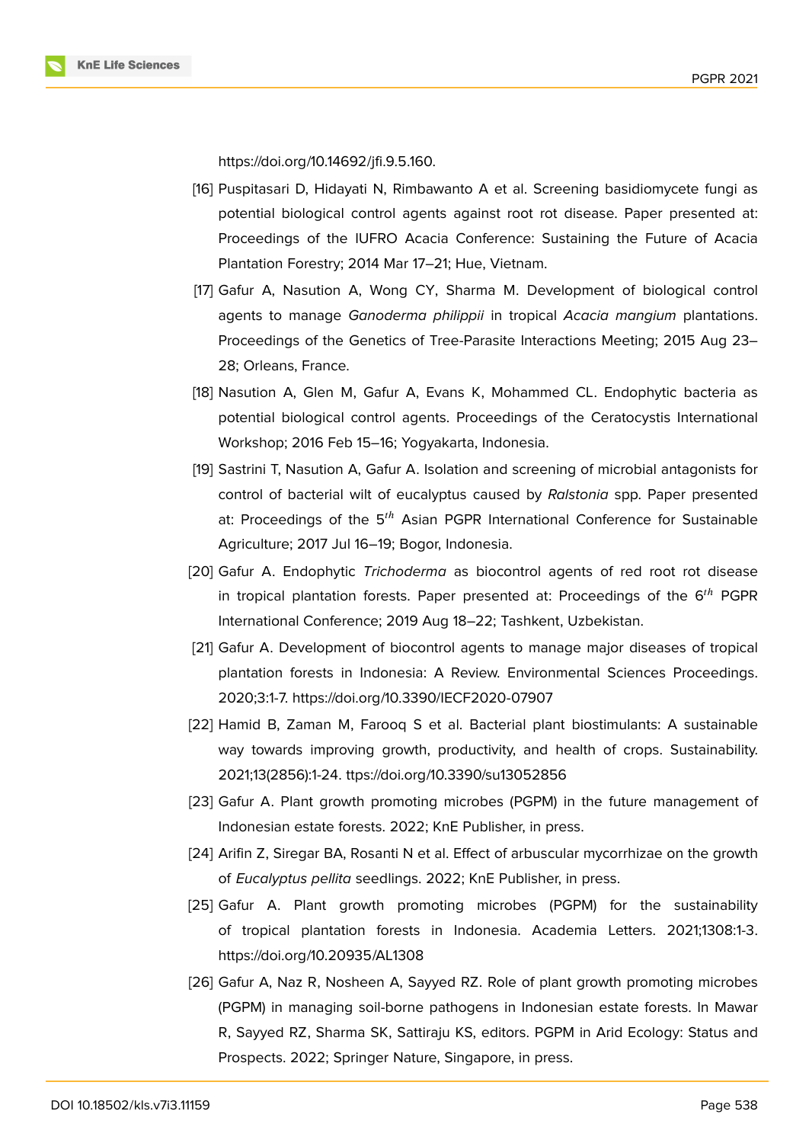

https://doi.org/10.14692/jfi.9.5.160.

- [16] Puspitasari D, Hidayati N, Rimbawanto A et al. Screening basidiomycete fungi as potential biological control agents against root rot disease. Paper presented at: Proceedings of the IUFRO Acacia Conference: Sustaining the Future of Acacia Plantation Forestry; 2014 Mar 17–21; Hue, Vietnam.
- [17] Gafur A, Nasution A, Wong CY, Sharma M. Development of biological control agents to manage *Ganoderma philippii* in tropical *Acacia mangium* plantations. Proceedings of the Genetics of Tree-Parasite Interactions Meeting; 2015 Aug 23– 28; Orleans, France.
- [18] Nasution A, Glen M, Gafur A, Evans K, Mohammed CL. Endophytic bacteria as potential biological control agents. Proceedings of the Ceratocystis International Workshop; 2016 Feb 15–16; Yogyakarta, Indonesia.
- [19] Sastrini T, Nasution A, Gafur A. Isolation and screening of microbial antagonists for control of bacterial wilt of eucalyptus caused by *Ralstonia* spp. Paper presented at: Proceedings of the  $5<sup>th</sup>$  Asian PGPR International Conference for Sustainable Agriculture; 2017 Jul 16–19; Bogor, Indonesia.
- [20] Gafur A. Endophytic *Trichoderma* as biocontrol agents of red root rot disease in tropical plantation forests. Paper presented at: Proceedings of the  $6^{th}$  PGPR International Conference; 2019 Aug 18–22; Tashkent, Uzbekistan.
- [21] Gafur A. Development of biocontrol agents to manage major diseases of tropical plantation forests in Indonesia: A Review. Environmental Sciences Proceedings. 2020;3:1-7. https://doi.org/10.3390/IECF2020-07907
- [22] Hamid B, Zaman M, Farooq S et al. Bacterial plant biostimulants: A sustainable way towards improving growth, productivity, and health of crops. Sustainability. 2021;13(2856):1-24. ttps://doi.org/10.3390/su13052856
- [23] Gafur A. Plant growth promoting microbes (PGPM) in the future management of Indonesian estate forests. 2022; KnE Publisher, in press.
- [24] Arifin Z, Siregar BA, Rosanti N et al. Effect of arbuscular mycorrhizae on the growth of *Eucalyptus pellita* seedlings. 2022; KnE Publisher, in press.
- [25] Gafur A. Plant growth promoting microbes (PGPM) for the sustainability of tropical plantation forests in Indonesia. Academia Letters. 2021;1308:1-3. https://doi.org/10.20935/AL1308
- <span id="page-7-0"></span>[26] Gafur A, Naz R, Nosheen A, Sayyed RZ. Role of plant growth promoting microbes (PGPM) in managing soil-borne pathogens in Indonesian estate forests. In Mawar R, Sayyed RZ, Sharma SK, Sattiraju KS, editors. PGPM in Arid Ecology: Status and Prospects. 2022; Springer Nature, Singapore, in press.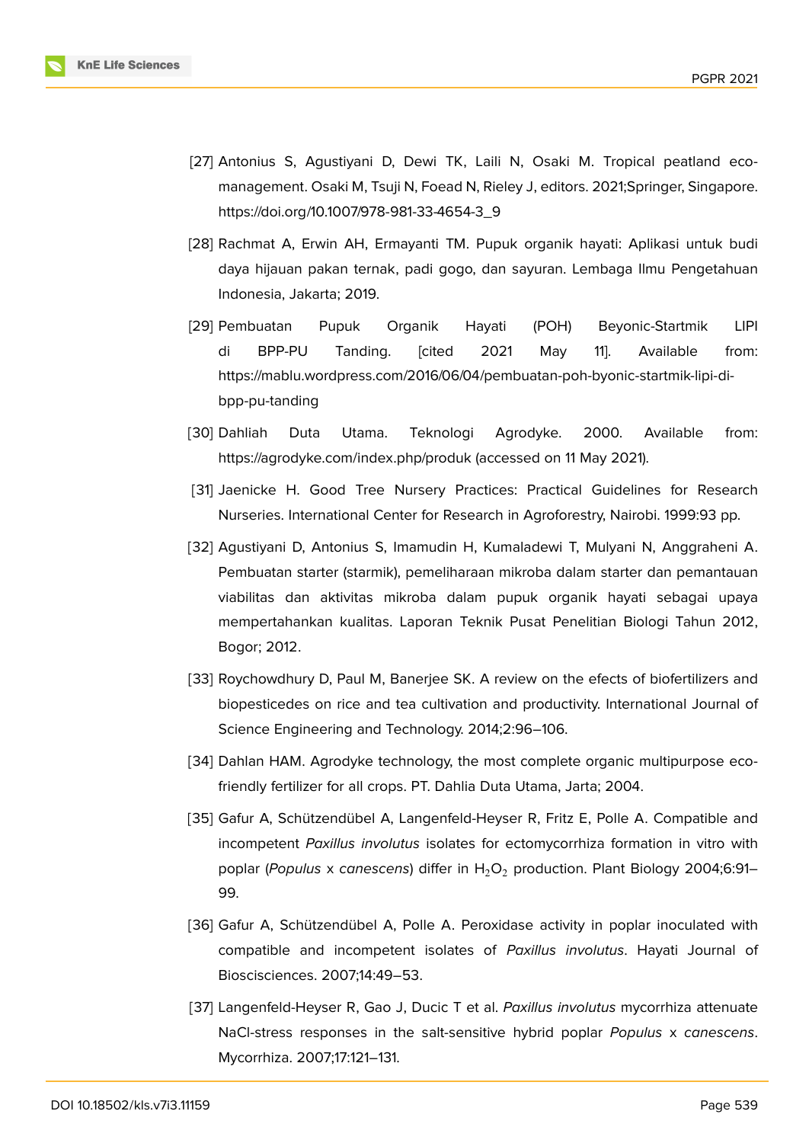

- [27] Antonius S, Agustiyani D, Dewi TK, Laili N, Osaki M. Tropical peatland ecomanagement. Osaki M, Tsuji N, Foead N, Rieley J, editors. 2021;Springer, Singapore. https://doi.org/10.1007/978-981-33-4654-3\_9
- [28] Rachmat A, Erwin AH, Ermayanti TM. Pupuk organik hayati: Aplikasi untuk budi daya hijauan pakan ternak, padi gogo, dan sayuran. Lembaga Ilmu Pengetahuan Indonesia, Jakarta; 2019.
- <span id="page-8-0"></span>[29] Pembuatan Pupuk Organik Hayati (POH) Beyonic-Startmik LIPI di BPP-PU Tanding. [cited 2021 May 11]. Available from: https://mablu.wordpress.com/2016/06/04/pembuatan-poh-byonic-startmik-lipi-dibpp-pu-tanding
- <span id="page-8-1"></span>[30] Dahliah Duta Utama. Teknologi Agrodyke. 2000. Available from: https://agrodyke.com/index.php/produk (accessed on 11 May 2021).
- <span id="page-8-2"></span>[31] Jaenicke H. Good Tree Nursery Practices: Practical Guidelines for Research Nurseries. International Center for Research in Agroforestry, Nairobi. 1999:93 pp.
- <span id="page-8-3"></span>[32] Agustiyani D, Antonius S, Imamudin H, Kumaladewi T, Mulyani N, Anggraheni A. Pembuatan starter (starmik), pemeliharaan mikroba dalam starter dan pemantauan viabilitas dan aktivitas mikroba dalam pupuk organik hayati sebagai upaya mempertahankan kualitas. Laporan Teknik Pusat Penelitian Biologi Tahun 2012, Bogor; 2012.
- <span id="page-8-4"></span>[33] Roychowdhury D, Paul M, Banerjee SK. A review on the efects of biofertilizers and biopesticedes on rice and tea cultivation and productivity. International Journal of Science Engineering and Technology. 2014;2:96–106.
- <span id="page-8-5"></span>[34] Dahlan HAM. Agrodyke technology, the most complete organic multipurpose ecofriendly fertilizer for all crops. PT. Dahlia Duta Utama, Jarta; 2004.
- [35] Gafur A, Schützendübel A, Langenfeld-Heyser R, Fritz E, Polle A. Compatible and incompetent *Paxillus involutus* isolates for ectomycorrhiza formation in vitro with poplar (*Populus* x *canescens*) differ in H<sub>2</sub>O<sub>2</sub> production. Plant Biology 2004;6:91– 99.
- [36] Gafur A, Schützendübel A, Polle A. Peroxidase activity in poplar inoculated with compatible and incompetent isolates of *Paxillus involutus*. Hayati Journal of Bioscisciences. 2007;14:49–53.
- [37] Langenfeld-Heyser R, Gao J, Ducic T et al. *Paxillus involutus* mycorrhiza attenuate NaCl-stress responses in the salt-sensitive hybrid poplar *Populus* x *canescens*. Mycorrhiza. 2007;17:121–131.